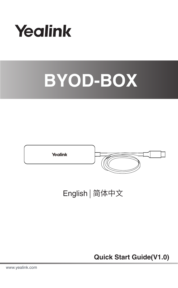





English | 简体中文

**Quick Start Guide(V1.0)**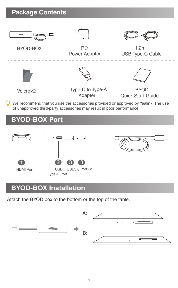## **Package Contents**





BYOD-BOX PD Power Adapter



 1.2m USB Type-C Cable







Velcro×2 Type-C to Type-A Adapter

**BYOD** Quick Start Guide

We recommend that you use the accessories provided or approved by Yealink. The use of unapproved third-party accessories may result in poor performance.

# **BYOD-BOX Port**



# **BYOD-BOX Installation**

Attach the BYOD box to the bottom or the top of the table.

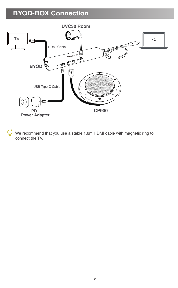# **BYOD-BOX Connection**



 We recommend that you use a stable 1.8m HDMI cable with magnetic ring to connect the TV.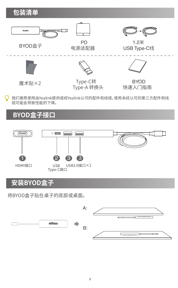

我们推荐使用由Yealink提供或经Yealink认可的配件和线缆,使用未经认可的第三方配件和线 Ö 缆可能会导致性能的下降。

## **BYOD盒子接口**



# **安装BYOD盒子**

将BYOD盒子贴在桌子的底部或桌面。

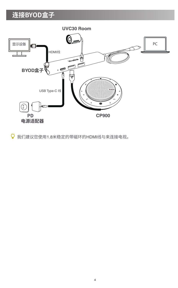# **连接BYOD盒子**



我们建议您使用1.8米稳定的带磁环的HDMI线与来连接电视。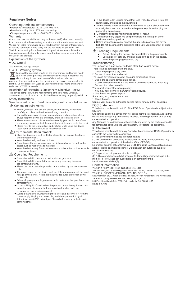### **Regulatory Notices**

- Operating Ambient Temperatures Operating temperature: +32 to 104°F (0 to 40°C)
- Relative humidity: 5% to 90%, noncondensing Storage temperature: -22 to +160°F (-30 to +70°C)
- Warranty.

Our product warranty is limited only to the unit itself, when used normally in accordance with the operating instructions and the system environment. we accordent for the sum and the specifical state of agreem monotonical.<br>We are not liable for damage or loss resulting from the use of this product. or for any claim from a third party. We are not liable for problems with Yealink device arising from the use of this product; we are not liable for financial damages, lost profits, claims from third parties, etc., arising from the use of this product.

Explanation of the symbols

 $\bullet$  DC symbol

**EXECUTE:** is the DC voltage symbol.

### WEEE Warning symbol

 To avoid the potential effects on the environment and human health as a result of the presence of hazardous substances in electrical and electronic equipment, end users of electrical and electronic<br>electronic equipment, end users of electrical and electronic

eant should understand the meaning of the crossed-out wheeled bin symbol. Do not dispose of WEEE as unsorted municipal waste and have to collect such WEEE separately.<br>Clear such WEEE separately.

#### Restriction of Hazardous Substances Directive (RoHS) This device complies with the requirements of the EU RoHS Directive. Statements of compliance can be obtained by contacting support@yealink.com.

Safety Instructions

Save these instructions. Read these safety instructions before use! General Requirements<br>A General Requirements

- Before you install and use the device, read the safety instructions carefully and observe the situation during operation.
- . During the process of storage, transportation, and operation, ple always keep the device dry and clean, avoid collision and crash.<br>Always keep the device dry and clean, avoid collision and crash.
- Please attempt not to dismantle the device by yourself. In case of any discrepancy, please contact the appointed maintenance center for repair.
	- **.** Please refer to the relevant laws and statutes while using the device.

## Legal rights of others should be respected as well.<br>
<u>A</u> Environmental Requirements

- Place the device at a well-ventilated place. Do not expose the device under direct sunlight.
- 
- Keep the device dry and free of dusts. Do not place the device on or near any inflammable or fire-vulnerable object, such as rubber-made materials.
	- Keep the device away from any heat source or bare fire, such as a candle or an electric heater.

### $\triangle$  Operating Requirements

- 
- Do not let a child operate the device without guidance. Do not let a child play with the device or any accessory in case of Do not we a critic pray
	- Please use the accessories provided or authorized by the manufacturer
- only. The power supply of the device shall meet the requirements of the input voltage of the device. Please use the provided surgerments to use up
- socket only. Before plugging or unplugging any cable, make sure that your hands are completely dry.
	- $\bullet$  Do not spill liquid of any kind on the product or use the equipment near water, for example, near a bathtub, washbowl, kitchen sink, wet aser, ne example, near a basiness,<br>asament or near a swimming pool.
	- During a thunderstorm, stop using the device and disconnect it from the power supply. Unplug the power plug and the Asymmetric Digital Subscriber Line (ADSL) twisted pair (the radio frequency cable) to avoid lightning strike.
- If the device is left unused for a rather long time, disconnect it from the
- power supply and unplug the power plug. When there is smoke emitted from the device, or some abnormal noise or smell, disconnect the device from the power supply, and unplug the power plug immediately.
- 
- Contact the specified maintenance center for repair. Do not insert any object into equipment slots that is not part of the
- product or auxiliary product. Before connecting a cable, connect the grounding cable of the device first. Do not disconnect the grounding cable until you disconnect all other cables.

Cleaning Requirements

- Before clearing the device, disconnect it from the power supply.
- Use a piece of soft, dry and anti-static cloth to clean the device. Keep the power plug clean and dry.

### Troubleshooting

The unit cannot supply power to device other than Yealink device.

The urst German export power as account.

1. Clean the plug with a dry cloth.

2. Connect it to another wall outlet. The usage environment is out of operating temperature range.

1. Use in the operation temperature range The cable between the unit and the Yealink device is connected income.

1. Connect the cable correctly.<br>You cannot connect the cable prope

You cannot connect the cable properly. 1. You may have connected a wrong Yealink device.

2. Use the correct power supply.

Some dust, etc., may be in the port.

#### 1. Clean the port.

Contact your dealer or authorized service facility for any further questions.

FCC Statement This device complies with part 15 of the FCC Rules. Operation is subject to the **This Quee**<br>following

two conditions: (1) this device may not cause harmful interference, and (2) this device must accept any interference received, including interference that may

cause undesired operation. Any Changes or modifications not expressly approved by the party responsible for compliance could void the user's authority to operate the equipment.

### IC Statement

This device complies with Industry Canada's licence-exempt RSSs. Operation is subject to the following two conditions:

(1) this device may not cause interference; and

(2) this device must accept any interference, including interference that may

cause undesired operation of the device. CAN ICES-3(B) Le présent appareil est conforme aux CNR d'Industrie Canada applicables aux appareils radio exempts de licence. L'exploitation est autorisée aux deux conditions suivantes :

(1) l'appareil ne doit pas produire de brouillage; (2) l'utilisateur de l'appareil doit accepter tout brouillage radioélectrique subi, même si le brouillage est susceptible d'en compromettre le

force of the continuation and

### Contact Information

YEALINK NETWORK TECHNOLOGY CO.,LTD.

309, 3rd Floor, No.16, Yun Ding North Road, Huli District, Xiamen City, Fujian, P.R.C **YEALINK (EUROPE) NETWORK TECHNOLOGY B.V.**<br>YEALINK (EUROPE) NETWORK TECHNOLOGY B.V.

Strawinskylaan 3127, Atrium Building, 8th floor, 1077ZX Amsterdam, The Netherlands YEALINK (USA) NETWORK TECHNOLOGY CO., LTD.

999 Peachtree Street Suite 2300, Fulton, Atlanta, GA, 30309, USA Made in China